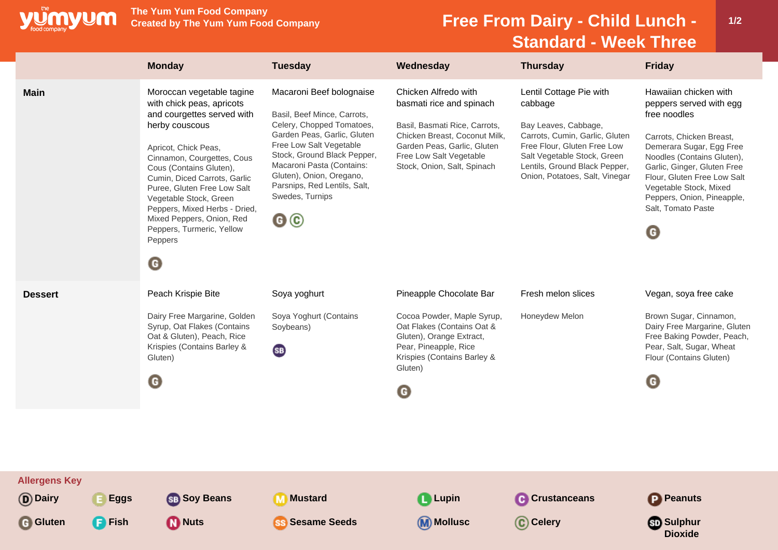

**The Yum Yum Food Company**

## **Free From Dairy - Child Lunch -Standard - Week Three**

|                                                      |                              | <b>Monday</b>                                                                                                                                                                                                                                                                                                                                                                                                   | <b>Tuesday</b>                                                                                                                                                                                                                                                                                       | Wednesday                                                                                                                                                                                                   | <b>Thursday</b>                                                                                                                                                                                                               | <b>Friday</b>                                                                                                                                                                                                                                                                                           |
|------------------------------------------------------|------------------------------|-----------------------------------------------------------------------------------------------------------------------------------------------------------------------------------------------------------------------------------------------------------------------------------------------------------------------------------------------------------------------------------------------------------------|------------------------------------------------------------------------------------------------------------------------------------------------------------------------------------------------------------------------------------------------------------------------------------------------------|-------------------------------------------------------------------------------------------------------------------------------------------------------------------------------------------------------------|-------------------------------------------------------------------------------------------------------------------------------------------------------------------------------------------------------------------------------|---------------------------------------------------------------------------------------------------------------------------------------------------------------------------------------------------------------------------------------------------------------------------------------------------------|
| <b>Main</b>                                          |                              | Moroccan vegetable tagine<br>with chick peas, apricots<br>and courgettes served with<br>herby couscous<br>Apricot, Chick Peas,<br>Cinnamon, Courgettes, Cous<br>Cous (Contains Gluten),<br>Cumin, Diced Carrots, Garlic<br>Puree, Gluten Free Low Salt<br>Vegetable Stock, Green<br>Peppers, Mixed Herbs - Dried,<br>Mixed Peppers, Onion, Red<br>Peppers, Turmeric, Yellow<br>Peppers<br>$\boldsymbol{\Theta}$ | Macaroni Beef bolognaise<br>Basil, Beef Mince, Carrots,<br>Celery, Chopped Tomatoes,<br>Garden Peas, Garlic, Gluten<br>Free Low Salt Vegetable<br>Stock, Ground Black Pepper,<br>Macaroni Pasta (Contains:<br>Gluten), Onion, Oregano,<br>Parsnips, Red Lentils, Salt,<br>Swedes, Turnips<br>$\odot$ | Chicken Alfredo with<br>basmati rice and spinach<br>Basil, Basmati Rice, Carrots,<br>Chicken Breast, Coconut Milk,<br>Garden Peas, Garlic, Gluten<br>Free Low Salt Vegetable<br>Stock, Onion, Salt, Spinach | Lentil Cottage Pie with<br>cabbage<br>Bay Leaves, Cabbage,<br>Carrots, Cumin, Garlic, Gluten<br>Free Flour, Gluten Free Low<br>Salt Vegetable Stock, Green<br>Lentils, Ground Black Pepper,<br>Onion, Potatoes, Salt, Vinegar | Hawaiian chicken with<br>peppers served with egg<br>free noodles<br>Carrots, Chicken Breast,<br>Demerara Sugar, Egg Free<br>Noodles (Contains Gluten),<br>Garlic, Ginger, Gluten Free<br>Flour, Gluten Free Low Salt<br>Vegetable Stock, Mixed<br>Peppers, Onion, Pineapple,<br>Salt, Tomato Paste<br>G |
| <b>Dessert</b>                                       |                              | Peach Krispie Bite<br>Dairy Free Margarine, Golden<br>Syrup, Oat Flakes (Contains<br>Oat & Gluten), Peach, Rice<br>Krispies (Contains Barley &<br>Gluten)<br>O                                                                                                                                                                                                                                                  | Soya yoghurt<br>Soya Yoghurt (Contains<br>Soybeans)<br>(SB)                                                                                                                                                                                                                                          | Pineapple Chocolate Bar<br>Cocoa Powder, Maple Syrup,<br>Oat Flakes (Contains Oat &<br>Gluten), Orange Extract,<br>Pear, Pineapple, Rice<br>Krispies (Contains Barley &<br>Gluten)<br>G                     | Fresh melon slices<br>Honeydew Melon                                                                                                                                                                                          | Vegan, soya free cake<br>Brown Sugar, Cinnamon,<br>Dairy Free Margarine, Gluten<br>Free Baking Powder, Peach,<br>Pear, Salt, Sugar, Wheat<br>Flour (Contains Gluten)<br>G                                                                                                                               |
| <b>Allergens Key</b><br>(D) Dairy<br><b>G</b> Gluten | <b>Eggs</b><br><b>P</b> Fish | <b>SB</b> Soy Beans<br><b>D</b> Nuts                                                                                                                                                                                                                                                                                                                                                                            | <b>Mustard</b><br>M<br><b>Sesame Seeds</b><br><b>SS</b>                                                                                                                                                                                                                                              | <b>Q</b> Lupin<br>Mollusc                                                                                                                                                                                   | <b>A</b> Crustanceans<br>C Celery                                                                                                                                                                                             | <b>P</b> Peanuts<br><b>Sulphur</b><br><b>Dioxide</b>                                                                                                                                                                                                                                                    |

**1/2**